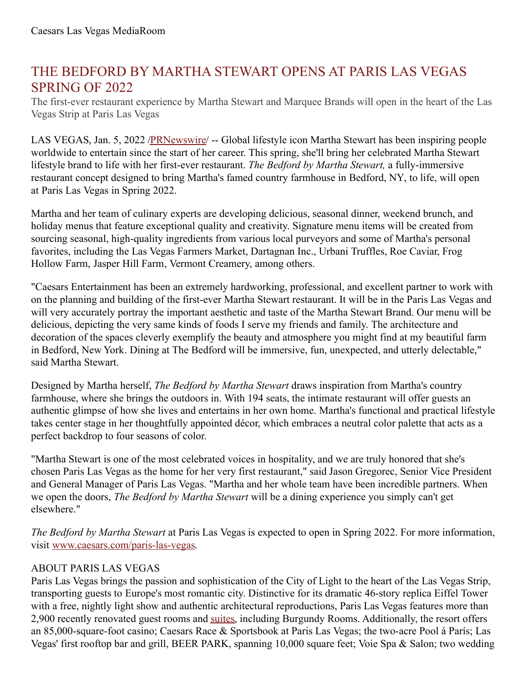## THE BEDFORD BY MARTHA STEWART OPENS AT PARIS LAS VEGAS SPRING OF 2022

The first-ever restaurant experience by Martha Stewart and Marquee Brands will open in the heart of the Las Vegas Strip at Paris Las Vegas

LAS VEGAS, Jan. 5, 2022 [/PRNewswire/](http://www.prnewswire.com/) -- Global lifestyle icon Martha Stewart has been inspiring people worldwide to entertain since the start of her career. This spring, she'll bring her celebrated Martha Stewart lifestyle brand to life with her first-ever restaurant. *The Bedford by Martha Stewart,* a fully-immersive restaurant concept designed to bring Martha's famed country farmhouse in Bedford, NY, to life, will open at Paris Las Vegas in Spring 2022.

Martha and her team of culinary experts are developing delicious, seasonal dinner, weekend brunch, and holiday menus that feature exceptional quality and creativity. Signature menu items will be created from sourcing seasonal, high-quality ingredients from various local purveyors and some of Martha's personal favorites, including the Las Vegas Farmers Market, Dartagnan Inc., Urbani Truffles, Roe Caviar, Frog Hollow Farm, Jasper Hill Farm, Vermont Creamery, among others.

"Caesars Entertainment has been an extremely hardworking, professional, and excellent partner to work with on the planning and building of the first-ever Martha Stewart restaurant. It will be in the Paris Las Vegas and will very accurately portray the important aesthetic and taste of the Martha Stewart Brand. Our menu will be delicious, depicting the very same kinds of foods I serve my friends and family. The architecture and decoration of the spaces cleverly exemplify the beauty and atmosphere you might find at my beautiful farm in Bedford, New York. Dining at The Bedford will be immersive, fun, unexpected, and utterly delectable," said Martha Stewart.

Designed by Martha herself, *The Bedford by Martha Stewart* draws inspiration from Martha's country farmhouse, where she brings the outdoors in. With 194 seats, the intimate restaurant will offer guests an authentic glimpse of how she lives and entertains in her own home. Martha's functional and practical lifestyle takes center stage in her thoughtfully appointed décor, which embraces a neutral color palette that acts as a perfect backdrop to four seasons of color.

"Martha Stewart is one of the most celebrated voices in hospitality, and we are truly honored that she's chosen Paris Las Vegas as the home for her very first restaurant," said Jason Gregorec, Senior Vice President and General Manager of Paris Las Vegas. "Martha and her whole team have been incredible partners. When we open the doors, *The Bedford by Martha Stewart* will be a dining experience you simply can't get elsewhere."

*The Bedford by Martha Stewart* at Paris Las Vegas is expected to open in Spring 2022. For more information, visit [www.caesars.com/paris-las-vegas](https://c212.net/c/link/?t=0&l=en&o=3403923-1&h=1263651025&u=http%3A%2F%2Fwww.caesars.com%2Fparis-las-vegas&a=www.caesars.com%2Fparis-las-vegas).

## ABOUT PARIS LAS VEGAS

Paris Las Vegas brings the passion and sophistication of the City of Light to the heart of the Las Vegas Strip, transporting guests to Europe's most romantic city. Distinctive for its dramatic 46-story replica Eiffel Tower with a free, nightly light show and authentic architectural reproductions, Paris Las Vegas features more than 2,900 recently renovated guest rooms and [suites](https://c212.net/c/link/?t=0&l=en&o=3403923-1&h=784051211&u=http%3A%2F%2Femail.prnewswire.com%2Fwf%2Fclick%3Fupn%3D-2BPEk3f3sg7UlER1pBPNjYcH-2FGwbyiY-2FGellwv-2BlPcTgqSlqn4sldvUhWWfbNzM9GkiQ8XWJauYyizcH0BhZXteYZawne8Eq6c3aovAtuOjSBhzSUzvAZduUUGdvo5g9pzeHTGnqpV8blnJjUw2xQEk4iSKG1JQ-2FtA7nMhKrGy7w9VgccBiZhsiHWELFgO3bxqHK7Vl45WxruFsyr3kLtFI6t1-2FR5KogSL0-2F1AH9VNG9nDeiYRp7jNhqCHse14Ttkno3N7ehjDU9ciUQp0CJBwT-2F9TlwOJGl2E5W9Mo33WjU-3D_vj-2BKmtQIKWqlxKwJIbNTN8wcFfCagqh0SkoMOGMawKpA58-2FIujYnaIZ1T2zyqfUPqkuUUCRCNydfH2YH-2BbPFqcoQ-2B3xVN5Lkeu7RP3pJbBLKNa7D1Oyryg1qlHzNvFX4GuVJgDRdJClDto3twXpzPsKmp8h3j9MODA-2FZVrsq-2F8MhfCjJzG8VxqAuJhTCE19A5c9KdSZP1lxbDO8Y0pJ6xOJLlRiwJoAqc6HqaBV6aOvYvQC-2B12-2B3dCjoHFYlP9z04LVAYNPLyyRN8qA28F6czVIlaudcgxK2TM6FRMeIDzyZAErJbqSahCL0at-2FAm-2Fj2&a=suites), including Burgundy Rooms. Additionally, the resort offers an 85,000-square-foot casino; Caesars Race & Sportsbook at Paris Las Vegas; the two-acre Pool á París; Las Vegas' first rooftop bar and grill, BEER PARK, spanning 10,000 square feet; Voie Spa & Salon; two wedding